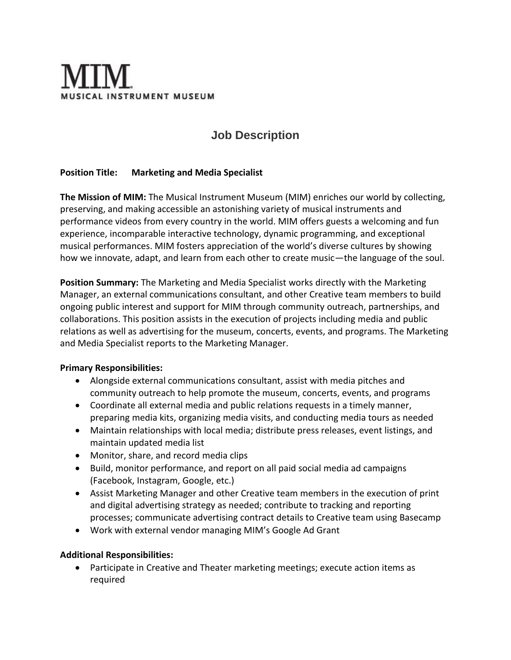# **ICAL INSTRUMENT MUSEUM**

# **Job Description**

## **Position Title: Marketing and Media Specialist**

**The Mission of MIM:** The Musical Instrument Museum (MIM) enriches our world by collecting, preserving, and making accessible an astonishing variety of musical instruments and performance videos from every country in the world. MIM offers guests a welcoming and fun experience, incomparable interactive technology, dynamic programming, and exceptional musical performances. MIM fosters appreciation of the world's diverse cultures by showing how we innovate, adapt, and learn from each other to create music—the language of the soul.

**Position Summary:** The Marketing and Media Specialist works directly with the Marketing Manager, an external communications consultant, and other Creative team members to build ongoing public interest and support for MIM through community outreach, partnerships, and collaborations. This position assists in the execution of projects including media and public relations as well as advertising for the museum, concerts, events, and programs. The Marketing and Media Specialist reports to the Marketing Manager.

### **Primary Responsibilities:**

- Alongside external communications consultant, assist with media pitches and community outreach to help promote the museum, concerts, events, and programs
- Coordinate all external media and public relations requests in a timely manner, preparing media kits, organizing media visits, and conducting media tours as needed
- Maintain relationships with local media; distribute press releases, event listings, and maintain updated media list
- Monitor, share, and record media clips
- Build, monitor performance, and report on all paid social media ad campaigns (Facebook, Instagram, Google, etc.)
- Assist Marketing Manager and other Creative team members in the execution of print and digital advertising strategy as needed; contribute to tracking and reporting processes; communicate advertising contract details to Creative team using Basecamp
- Work with external vendor managing MIM's Google Ad Grant

### **Additional Responsibilities:**

• Participate in Creative and Theater marketing meetings; execute action items as required